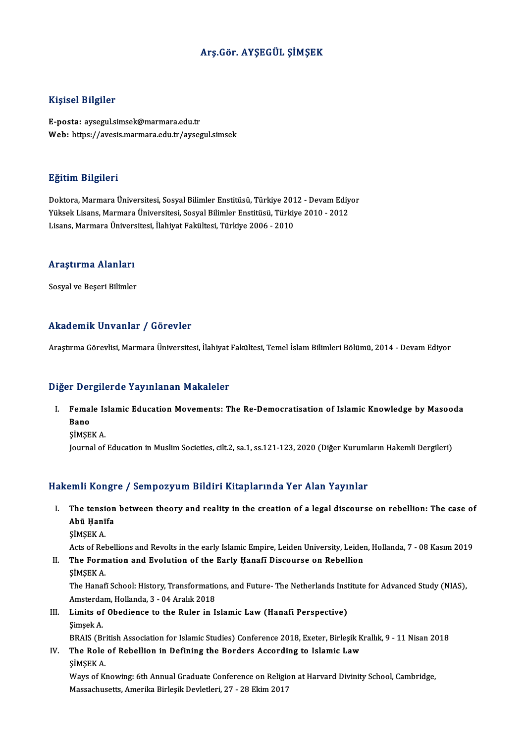### Arş.Gör. AYŞEGÜL ŞİMŞEK

### Kişisel Bilgiler

E-posta: aysegul.simsek@marmara.edu.tr Web: https://avesis.marmara.edu.tr/aysegul.simsek

### Eğitim Bilgileri

**Eğitim Bilgileri**<br>Doktora, Marmara Üniversitesi, Sosyal Bilimler Enstitüsü, Türkiye 2012 - Devam Ediyor<br>Yüksek Lisans, Marmara Üniversitesi, Sosyal Bilimler Enstitüsü, Türkiye 2010, 2012 23.<br>29. Doktora, Marmara Üniversitesi, Sosyal Bilimler Enstitüsü, Türkiye 2012 - Devam Ediy<br>Yüksek Lisans, Marmara Üniversitesi, Sosyal Bilimler Enstitüsü, Türkiye 2010 - 2012<br>Lisans, Marmara Üniversitesi, İlabiyat Fakülte Yüksek Lisans, Marmara Üniversitesi, Sosyal Bilimler Enstitüsü, Türkiye 2010 - 2012<br>Lisans, Marmara Üniversitesi, İlahiyat Fakültesi, Türkiye 2006 - 2010

## Lisans, marmara onivers<br>Araştırma Alanları <mark>Araştırma Alanları</mark><br>Sosyal ve Beşeri Bilimler

# Akademik Unvanlar / Görevler

Araştırma Görevlisi, Marmara Üniversitesi, İlahiyat Fakültesi, Temel İslam Bilimleri Bölümü, 2014 - Devam Ediyor

### Diğer Dergilerde Yayınlanan Makaleler

Iger Dergilerde Yayınlanan Makaleler<br>I. Female Islamic Education Movements: The Re-Democratisation of Islamic Knowledge by Masooda<br>Rane r Der<br>Femal<br>Bano<br><sub>S</sub>imer Bano<br>ŞİMŞEK A.

Journal of Education in Muslim Societies, cilt.2, sa.1, ss.121-123, 2020 (Diğer Kurumların Hakemli Dergileri)

### Hakemli Kongre / Sempozyum Bildiri Kitaplarında Yer Alan Yayınlar

- akemli Kongre / Sempozyum Bildiri Kitaplarında Yer Alan Yayınlar<br>I. The tension between theory and reality in the creation of a legal discourse on rebellion: The case of Abū Ḥanīfa The tensi<br>Abū Ḥanī<br>ŞİMŞEK A. Abū Ḥanīfa<br>ŞİMŞEK A.<br>Acts of Rebellions and Revolts in the early Islamic Empire, Leiden University, Leiden, Hollanda, 7 - 08 Kasım 2019
	-

II. The Formation and Evolution of the Early Hanafi Discourse on Rebellion ŞİMŞEKA. The Formation and Evolution of the Early Hanafī Discourse on Rebellion<br>ŞİMŞEK A.<br>The Hanafī School: History, Transformations, and Future-The Netherlands Institute for Advanced Study (NIAS),<br>Amstardam Hollanda 3, 04 Aralık ŞİMŞEK A.<br>The Hanafi School: History, Transformatic<br>Amsterdam, Hollanda, 3 - 04 Aralık 2018<br>Limits of Obodianas ta the Buler in L

The Hanafi School: History, Transformations, and Future- The Netherlands Inst<br>Amsterdam, Hollanda, 3 - 04 Aralık 2018<br>III. Limits of Obedience to the Ruler in Islamic Law (Hanafi Perspective)<br>Simesk A Amsterda<br>Li<mark>mits of</mark><br>Şimşek A.<br>PRAIS (B. Şimşek A.<br>BRAIS (British Association for Islamic Studies) Conference 2018, Exeter, Birleşik Krallık, 9 - 11 Nisan 2018 Simşek A.<br>BRAIS (British Association for Islamic Studies) Conference 2018, Exeter, Birleşik K<br>IV. The Role of Rebellion in Defining the Borders According to Islamic Law<br>SIMSEV A

BRAIS (Br.<br>The Role<br>ŞİMŞEK A.<br>Waya of K ŞİMŞEK A.<br>Ways of Knowing: 6th Annual Graduate Conference on Religion at Harvard Divinity School, Cambridge,

Massachusetts, Amerika Birleşik Devletleri, 27 - 28 Ekim 2017